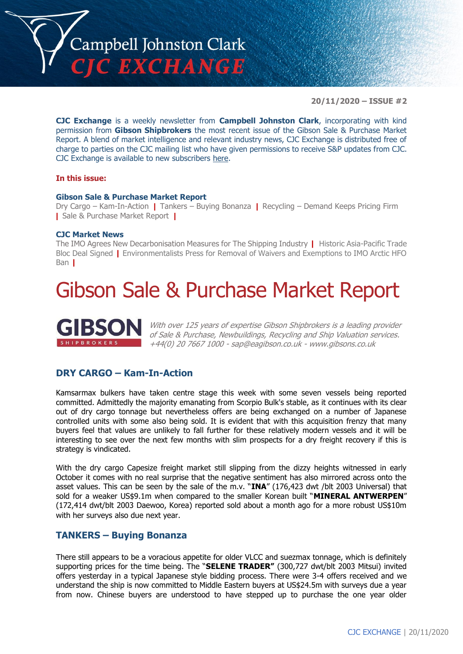

**20/11/2020 – ISSUE #2**

**CJC Exchange** is a weekly newsletter from **Campbell Johnston Clark**, incorporating with kind permission from **Gibson Shipbrokers** the most recent issue of the Gibson Sale & Purchase Market Report. A blend of market intelligence and relevant industry news, CJC Exchange is distributed free of charge to parties on the CJC mailing list who have given permissions to receive S&P updates from CJC. CJC Exchange is available to new subscribers [here.](mailto:jamesc@cjclaw.com?subject=CJC%20Exchange%20sign-up)

#### **In this issue:**

#### **Gibson Sale & Purchase Market Report**

Dry Cargo – Kam-In-Action **|** Tankers – Buying Bonanza **|** Recycling – Demand Keeps Pricing Firm **|** Sale & Purchase Market Report **|**

#### **CJC Market News**

The IMO Agrees New Decarbonisation Measures for The Shipping Industry **|** Historic Asia-Pacific Trade Bloc Deal Signed **|** Environmentalists Press for Removal of Waivers and Exemptions to IMO Arctic HFO Ban **|**

### Gibson Sale & Purchase Market Report



With over 125 years of expertise Gibson Shipbrokers is a leading provider of Sale & Purchase, Newbuildings, Recycling and Ship Valuation services. +44(0) 20 7667 1000 - [sap@eagibson.co.uk](mailto:sap@eagibson.co.uk) - [www.gibsons.co.uk](https://protect-eu.mimecast.com/s/VO6nCGZzRS60KqcK1jQh/)

#### **DRY CARGO – Kam-In-Action**

Kamsarmax bulkers have taken centre stage this week with some seven vessels being reported committed. Admittedly the majority emanating from Scorpio Bulk's stable, as it continues with its clear out of dry cargo tonnage but nevertheless offers are being exchanged on a number of Japanese controlled units with some also being sold. It is evident that with this acquisition frenzy that many buyers feel that values are unlikely to fall further for these relatively modern vessels and it will be interesting to see over the next few months with slim prospects for a dry freight recovery if this is strategy is vindicated.

With the dry cargo Capesize freight market still slipping from the dizzy heights witnessed in early October it comes with no real surprise that the negative sentiment has also mirrored across onto the asset values. This can be seen by the sale of the m.v. "**INA**" (176,423 dwt /blt 2003 Universal) that sold for a weaker US\$9.1m when compared to the smaller Korean built "**MINERAL ANTWERPEN**" (172,414 dwt/blt 2003 Daewoo, Korea) reported sold about a month ago for a more robust US\$10m with her surveys also due next year.

#### **TANKERS – Buying Bonanza**

There still appears to be a voracious appetite for older VLCC and suezmax tonnage, which is definitely supporting prices for the time being. The "**SELENE TRADER"** (300,727 dwt/blt 2003 Mitsui) invited offers yesterday in a typical Japanese style bidding process. There were 3-4 offers received and we understand the ship is now committed to Middle Eastern buyers at US\$24.5m with surveys due a year from now. Chinese buyers are understood to have stepped up to purchase the one year older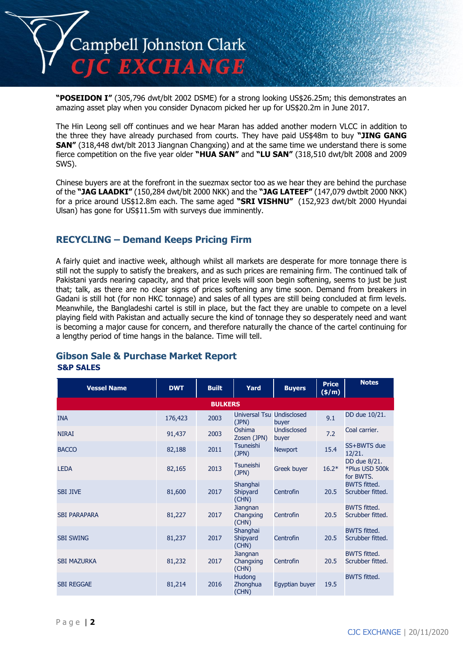

**"POSEIDON I"** (305,796 dwt/blt 2002 DSME) for a strong looking US\$26.25m; this demonstrates an amazing asset play when you consider Dynacom picked her up for US\$20.2m in June 2017.

The Hin Leong sell off continues and we hear Maran has added another modern VLCC in addition to the three they have already purchased from courts. They have paid US\$48m to buy **"JING GANG SAN"** (318,448 dwt/blt 2013 Jiangnan Changxing) and at the same time we understand there is some fierce competition on the five year older **"HUA SAN"** and **"LU SAN"** (318,510 dwt/blt 2008 and 2009 SWS).

Chinese buyers are at the forefront in the suezmax sector too as we hear they are behind the purchase of the **"JAG LAADKI"** (150,284 dwt/blt 2000 NKK) and the **"JAG LATEEF"** (147,079 dwtblt 2000 NKK) for a price around US\$12.8m each. The same aged **"SRI VISHNU"** (152,923 dwt/blt 2000 Hyundai Ulsan) has gone for US\$11.5m with surveys due imminently.

#### **RECYCLING – Demand Keeps Pricing Firm**

A fairly quiet and inactive week, although whilst all markets are desperate for more tonnage there is still not the supply to satisfy the breakers, and as such prices are remaining firm. The continued talk of Pakistani yards nearing capacity, and that price levels will soon begin softening, seems to just be just that; talk, as there are no clear signs of prices softening any time soon. Demand from breakers in Gadani is still hot (for non HKC tonnage) and sales of all types are still being concluded at firm levels. Meanwhile, the Bangladeshi cartel is still in place, but the fact they are unable to compete on a level playing field with Pakistan and actually secure the kind of tonnage they so desperately need and want is becoming a major cause for concern, and therefore naturally the chance of the cartel continuing for a lengthy period of time hangs in the balance. Time will tell.

#### **Gibson Sale & Purchase Market Report S&P SALES**

| <b>Vessel Name</b>  | <b>DWT</b> | <b>Built</b>   | Yard                               | <b>Buyers</b>        | <b>Price</b><br>(\$/m) | <b>Notes</b>                                |
|---------------------|------------|----------------|------------------------------------|----------------------|------------------------|---------------------------------------------|
|                     |            | <b>BULKERS</b> |                                    |                      |                        |                                             |
| <b>INA</b>          | 176,423    | 2003           | Universal Tsu Undisclosed<br>(JPN) | buver                | 9.1                    | DD due 10/21.                               |
| <b>NIRAI</b>        | 91,437     | 2003           | Oshima<br>Zosen (JPN)              | Undisclosed<br>buyer | 7.2                    | Coal carrier.                               |
| <b>BACCO</b>        | 82,188     | 2011           | <b>Tsuneishi</b><br>(JPN)          | <b>Newport</b>       | 15.4                   | SS+BWTS due<br>12/21.                       |
| <b>LEDA</b>         | 82,165     | 2013           | Tsuneishi<br>(JPN)                 | <b>Greek buyer</b>   | $16.2*$                | DD due 8/21.<br>*Plus USD 500k<br>for BWTS. |
| <b>SBI JIVE</b>     | 81,600     | 2017           | Shanghai<br>Shipyard<br>(CHN)      | Centrofin            | 20.5                   | <b>BWTS fitted.</b><br>Scrubber fitted.     |
| <b>SBI PARAPARA</b> | 81,227     | 2017           | Jiangnan<br>Changxing<br>(CHN)     | Centrofin            | 20.5                   | <b>BWTS fitted.</b><br>Scrubber fitted.     |
| <b>SBI SWING</b>    | 81,237     | 2017           | Shanghai<br>Shipyard<br>(CHN)      | Centrofin            | 20.5                   | <b>BWTS fitted.</b><br>Scrubber fitted.     |
| <b>SBI MAZURKA</b>  | 81,232     | 2017           | Jiangnan<br>Changxing<br>(CHN)     | Centrofin            | 20.5                   | <b>BWTS fitted.</b><br>Scrubber fitted.     |
| <b>SBI REGGAE</b>   | 81,214     | 2016           | Hudong<br>Zhonghua<br>(CHN)        | Egyptian buyer       | 19.5                   | <b>BWTS fitted.</b>                         |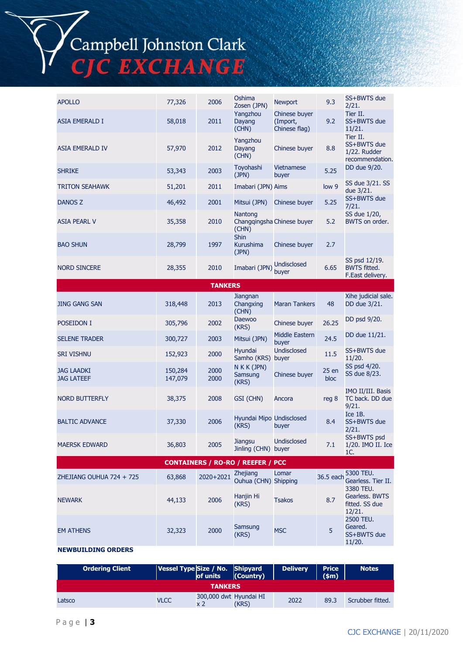# Campbell Johnston Clark<br>CJC EXCHANGE

| <b>APOLLO</b>                          | 77,326             | 2006           | Oshima<br>Zosen (JPN)                    | <b>Newport</b>                             | 9.3          | SS+BWTS due<br>2/21.                                       |
|----------------------------------------|--------------------|----------------|------------------------------------------|--------------------------------------------|--------------|------------------------------------------------------------|
| <b>ASIA EMERALD I</b>                  | 58,018             | 2011           | Yangzhou<br>Dayang<br>(CHN)              | Chinese buver<br>(Import,<br>Chinese flag) | 9.2          | Tier II.<br>SS+BWTS due<br>11/21.                          |
| <b>ASIA EMERALD IV</b>                 | 57,970             | 2012           | Yangzhou<br>Dayang<br>(CHN)              | Chinese buyer                              | 8.8          | Tier II.<br>SS+BWTS due<br>1/22. Rudder<br>recommendation. |
| <b>SHRIKE</b>                          | 53,343             | 2003           | Toyohashi<br>(JPN)                       | <b>Vietnamese</b><br>buyer                 | 5.25         | DD due 9/20.                                               |
| <b>TRITON SEAHAWK</b>                  | 51,201             | 2011           | Imabari (JPN) Aims                       |                                            | low 9        | SS due 3/21. SS<br>due 3/21.                               |
| DANOS Z                                | 46,492             | 2001           | Mitsui (JPN)                             | Chinese buyer                              | 5.25         | SS+BWTS due<br>7/21.                                       |
| <b>ASIA PEARL V</b>                    | 35,358             | 2010           | Nantong<br>(CHN)                         | Changqingsha Chinese buyer                 | 5.2          | SS due 1/20,<br>BWTS on order.                             |
| <b>BAO SHUN</b>                        | 28,799             | 1997           | <b>Shin</b><br><b>Kurushima</b><br>(JPN) | Chinese buyer                              | 2.7          |                                                            |
| <b>NORD SINCERE</b>                    | 28,355             | 2010           | Imabari (JPN)                            | Undisclosed<br>buyer                       | 6.65         | SS psd 12/19.<br><b>BWTS fitted.</b><br>F.East delivery.   |
|                                        |                    | <b>TANKERS</b> |                                          |                                            |              |                                                            |
| <b>JING GANG SAN</b>                   | 318,448            | 2013           | Jiangnan<br>Changxing<br>(CHN)           | <b>Maran Tankers</b>                       | 48           | Xihe judicial sale.<br>DD due 3/21.                        |
| POSEIDON I                             | 305,796            | 2002           | <b>Daewoo</b><br>(KRS)                   | Chinese buyer                              | 26.25        | DD psd 9/20.                                               |
| <b>SELENE TRADER</b>                   | 300,727            | 2003           | Mitsui (JPN)                             | Middle Eastern<br>buyer                    | 24.5         | DD due 11/21.                                              |
| <b>SRI VISHNU</b>                      | 152,923            | 2000           | Hyundai<br>Samho (KRS) buyer             | <b>Undisclosed</b>                         | 11.5         | SS+BWTS due<br>11/20.                                      |
| <b>JAG LAADKI</b><br><b>JAG LATEEF</b> | 150,284<br>147,079 | 2000<br>2000   | N K K (JPN)<br>Samsung<br>(KRS)          | Chinese buyer                              | 25en<br>bloc | SS psd 4/20.<br>SS due 8/23.                               |
| <b>NORD BUTTERFLY</b>                  | 38,375             | 2008           | GSI (CHN)                                | Ancora                                     | reg 8        | IMO II/III. Basis<br>TC back. DD due<br>9/21.              |
| <b>BALTIC ADVANCE</b>                  | 37,330             | 2006           | Hyundai Mipo Undisclosed<br>(KRS)        | buyer                                      | 8.4          | Ice 1B.<br>SS+BWTS due<br>2/21.                            |
| <b>MAERSK EDWARD</b>                   | 36,803             | 2005           | Jiangsu<br>Jinling (CHN) buyer           | Undisclosed                                | 7.1          | SS+BWTS psd<br>1/20. IMO II. Ice<br>1C.                    |
|                                        |                    |                | <b>CONTAINERS / RO-RO / REEFER / PCC</b> |                                            |              |                                                            |
| ZHEJIANG OUHUA 724 + 725               | 63,868             | 2020+2021      | <b>Zhejiang</b><br>Ouhua (CHN) Shipping  | Lomar                                      | 36.5 each    | 5300 TEU.<br>Gearless. Tier II.<br>3380 TEU.               |
| <b>NEWARK</b>                          | 44,133             | 2006           | Hanjin Hi<br>(KRS)                       | <b>Tsakos</b>                              | 8.7          | Gearless, BWTS<br>fitted. SS due<br>12/21.                 |
| <b>EM ATHENS</b>                       | 32,323             | 2000           | Samsung<br>(KRS)                         | <b>MSC</b>                                 | 5            | 2500 TEU.<br>Geared.<br>SS+BWTS due<br>11/20.              |

#### **NEWBUILDING ORDERS**

| <b>Ordering Client</b> | Vessel Type Size / No. Shipyard | of units                      | (Country) | <b>Delivery</b> | <b>Price</b><br>(s <sub>m</sub> ) | <b>Notes</b>     |
|------------------------|---------------------------------|-------------------------------|-----------|-----------------|-----------------------------------|------------------|
|                        |                                 | <b>TANKERS</b>                |           |                 |                                   |                  |
| Latsco                 | <b>VLCC</b>                     | 300,000 dwt Hyundai HI<br>x 2 | (KRS)     | 2022            | 89.3                              | Scrubber fitted. |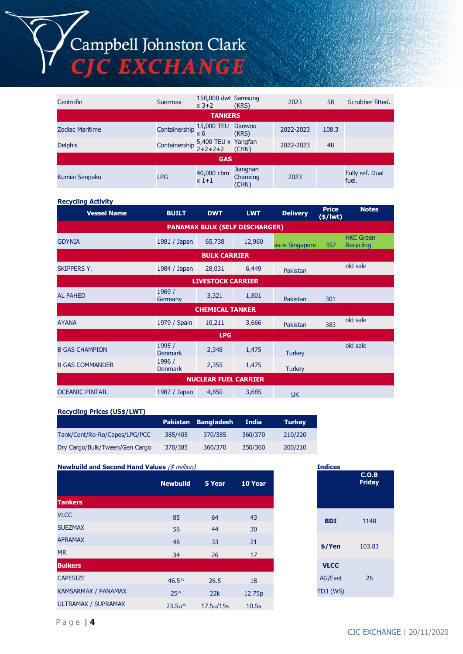## Campbell Johnston Clark<br>CJC EXCHANGE

| Centrofin              | Suezmax                                                | 158,000 dwt Samsung<br>$x$ 3+2 | (KRS)                                | 2023      | 58    | Scrubber fitted.         |
|------------------------|--------------------------------------------------------|--------------------------------|--------------------------------------|-----------|-------|--------------------------|
|                        |                                                        | <b>TANKERS</b>                 |                                      |           |       |                          |
| <b>Zodiac Maritime</b> | Containership $\frac{15,000}{x}$ TEU                   |                                | Daewoo<br>(KRS)                      | 2022-2023 | 108.3 |                          |
| <b>Delphis</b>         | Containership $5,400$ TEU x Yangfan<br>$2+2+2+2$ (CHN) |                                |                                      | 2022-2023 | 48    |                          |
|                        |                                                        | <b>GAS</b>                     |                                      |           |       |                          |
| Kumiai Senpaku         | <b>LPG</b>                                             | 40,000 cbm<br>$x1+1$           | <b>Jiangnan</b><br>Chanxing<br>(CHN) | 2023      |       | Fully ref. Dual<br>fuel. |

#### **Recycling Activity**

| <b>Vessel Name</b>     | <b>BUILT</b>             | <b>DWT</b>                  | <b>LWT</b>                            | <b>Delivery</b> | <b>Price</b><br>(\$/lwt) | <b>Notes</b>                         |
|------------------------|--------------------------|-----------------------------|---------------------------------------|-----------------|--------------------------|--------------------------------------|
|                        |                          |                             | <b>PANAMAX BULK (SELF DISCHARGER)</b> |                 |                          |                                      |
| <b>GDYNIA</b>          | 1981 / Japan             | 65,738                      | 12,960                                | as-is Singapore | 357                      | <b>HKC Green</b><br><b>Recycling</b> |
|                        |                          | <b>BULK CARRIER</b>         |                                       |                 |                          |                                      |
| <b>SKIPPERS Y.</b>     | 1984 / Japan             | 28,031                      | 6,449                                 | Pakistan        |                          | old sale                             |
|                        |                          | <b>LIVESTOCK CARRIER</b>    |                                       |                 |                          |                                      |
| <b>AL FAHED</b>        | 1969 /<br>Germany        | 3,321                       | 1,801                                 | Pakistan        | 301                      |                                      |
|                        |                          | <b>CHEMICAL TANKER</b>      |                                       |                 |                          |                                      |
| <b>AYANA</b>           | 1979 / Spain             | 10,211                      | 3,666                                 | Pakistan        | 383                      | old sale                             |
|                        |                          | <b>LPG</b>                  |                                       |                 |                          |                                      |
| <b>B GAS CHAMPION</b>  | 1995 /<br><b>Denmark</b> | 2,348                       | 1,475                                 | <b>Turkey</b>   |                          | old sale                             |
| <b>B GAS COMMANDER</b> | 1996 /<br><b>Denmark</b> | 2,355                       | 1,475                                 | <b>Turkey</b>   |                          |                                      |
|                        |                          | <b>NUCLEAR FUEL CARRIER</b> |                                       |                 |                          |                                      |
| <b>OCEANIC PINTAIL</b> | 1987 / Japan             | 4,850                       | 3,685                                 | <b>UK</b>       |                          |                                      |

**Recycling Prices (US\$/LWT)**

|                                |         | Pakistan Bangladesh | India   | <b>Turkey</b> |
|--------------------------------|---------|---------------------|---------|---------------|
| Tank/Cont/Ro-Ro/Capes/LPG/PCC  | 385/405 | 370/385             | 360/370 | 210/220       |
| Dry Cargo/Bulk/Tween/Gen Cargo | 370/385 | 360/370             | 350/360 | 200/210       |

**Newbuild and Second Hand Values** (\$ million) **Indices**

|                            | <b>Newbuild</b>                     | 5 Year    | 10 Year |
|----------------------------|-------------------------------------|-----------|---------|
| <b>Tankers</b>             |                                     |           |         |
| <b>VLCC</b>                | 85                                  | 64        | 43      |
| <b>SUEZMAX</b>             | 56                                  | 44        | 30      |
| <b>AFRAMAX</b>             | 46                                  | 33        | 21      |
| <b>MR</b>                  | 34                                  | 26        | 17      |
| <b>Bulkers</b>             |                                     |           |         |
| <b>CAPESIZE</b>            | $46.5^{\circ}$                      | 26.5      | 18      |
| KAMSARMAX / PANAMAX        | $25^{\wedge}$                       | 22k       | 12.75p  |
| <b>ULTRAMAX / SUPRAMAX</b> | 23.5u <sup><math>\land</math></sup> | 17.5u/15s | 10.5s   |
|                            |                                     |           |         |

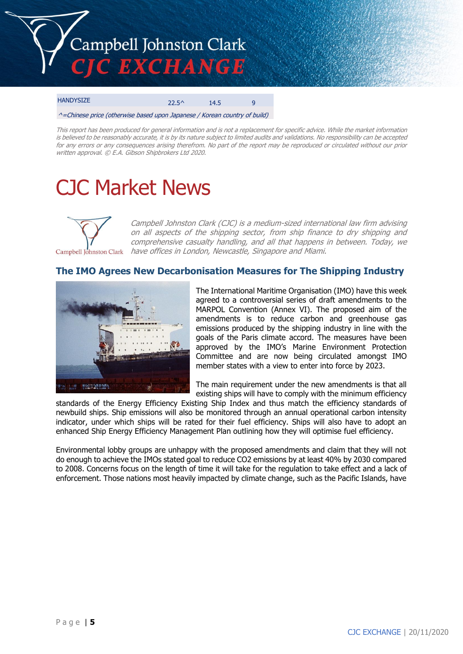

#### HANDYSIZE 22.5^ 14.5 9 ^=Chinese price (otherwise based upon Japanese / Korean country of build)

This report has been produced for general information and is not a replacement for specific advice. While the market information is believed to be reasonably accurate, it is by its nature subject to limited audits and validations. No responsibility can be accepted for any errors or any consequences arising therefrom. No part of the report may be reproduced or circulated without our prior written approval. © E.A. Gibson Shipbrokers Ltd 2020.

## CJC Market News



Campbell Johnston Clark (CJC) is a medium-sized international law firm advising on all aspects of the shipping sector, from ship finance to dry shipping and comprehensive casualty handling, and all that happens in between. Today, we have offices in London, Newcastle, Singapore and Miami.

#### **The IMO Agrees New Decarbonisation Measures for The Shipping Industry**



The International Maritime Organisation (IMO) have this week agreed to a controversial series of draft amendments to the MARPOL Convention (Annex VI). The proposed aim of the amendments is to reduce carbon and greenhouse gas emissions produced by the shipping industry in line with the goals of the Paris climate accord. The measures have been approved by the IMO's Marine Environment Protection Committee and are now being circulated amongst IMO member states with a view to enter into force by 2023.

The main requirement under the new amendments is that all existing ships will have to comply with the minimum efficiency

standards of the Energy Efficiency Existing Ship Index and thus match the efficiency standards of newbuild ships. Ship emissions will also be monitored through an annual operational carbon intensity indicator, under which ships will be rated for their fuel efficiency. Ships will also have to adopt an enhanced Ship Energy Efficiency Management Plan outlining how they will optimise fuel efficiency.

Environmental lobby groups are unhappy with the proposed amendments and claim that they will not do enough to achieve the IMOs stated goal to reduce CO2 emissions by at least 40% by 2030 compared to 2008. Concerns focus on the length of time it will take for the regulation to take effect and a lack of enforcement. Those nations most heavily impacted by climate change, such as the Pacific Islands, have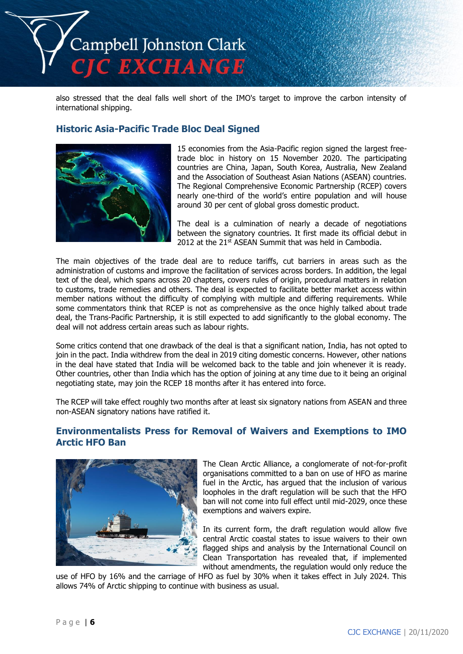

also stressed that the deal falls well short of the IMO's target to improve the carbon intensity of international shipping.

#### **Historic Asia-Pacific Trade Bloc Deal Signed**



15 economies from the Asia-Pacific region signed the largest freetrade bloc in history on 15 November 2020. The participating countries are China, Japan, South Korea, Australia, New Zealand and the Association of Southeast Asian Nations (ASEAN) countries. The Regional Comprehensive Economic Partnership (RCEP) covers nearly one-third of the world's entire population and will house around 30 per cent of global gross domestic product.

The deal is a culmination of nearly a decade of negotiations between the signatory countries. It first made its official debut in 2012 at the 21st ASEAN Summit that was held in Cambodia.

The main objectives of the trade deal are to reduce tariffs, cut barriers in areas such as the administration of customs and improve the facilitation of services across borders. In addition, the legal text of the deal, which spans across 20 chapters, covers rules of origin, procedural matters in relation to customs, trade remedies and others. The deal is expected to facilitate better market access within member nations without the difficulty of complying with multiple and differing requirements. While some commentators think that RCEP is not as comprehensive as the once highly talked about trade deal, the Trans-Pacific Partnership, it is still expected to add significantly to the global economy. The deal will not address certain areas such as labour rights.

Some critics contend that one drawback of the deal is that a significant nation, India, has not opted to join in the pact. India withdrew from the deal in 2019 citing domestic concerns. However, other nations in the deal have stated that India will be welcomed back to the table and join whenever it is ready. Other countries, other than India which has the option of joining at any time due to it being an original negotiating state, may join the RCEP 18 months after it has entered into force.

The RCEP will take effect roughly two months after at least six signatory nations from ASEAN and three non-ASEAN signatory nations have ratified it.

#### **Environmentalists Press for Removal of Waivers and Exemptions to IMO Arctic HFO Ban**



The Clean Arctic Alliance, a conglomerate of not-for-profit organisations committed to a ban on use of HFO as marine fuel in the Arctic, has argued that the inclusion of various loopholes in the draft regulation will be such that the HFO ban will not come into full effect until mid-2029, once these exemptions and waivers expire.

In its current form, the draft regulation would allow five central Arctic coastal states to issue waivers to their own flagged ships and analysis by the International Council on Clean Transportation has revealed that, if implemented without amendments, the regulation would only reduce the

use of HFO by 16% and the carriage of HFO as fuel by 30% when it takes effect in July 2024. This allows 74% of Arctic shipping to continue with business as usual.